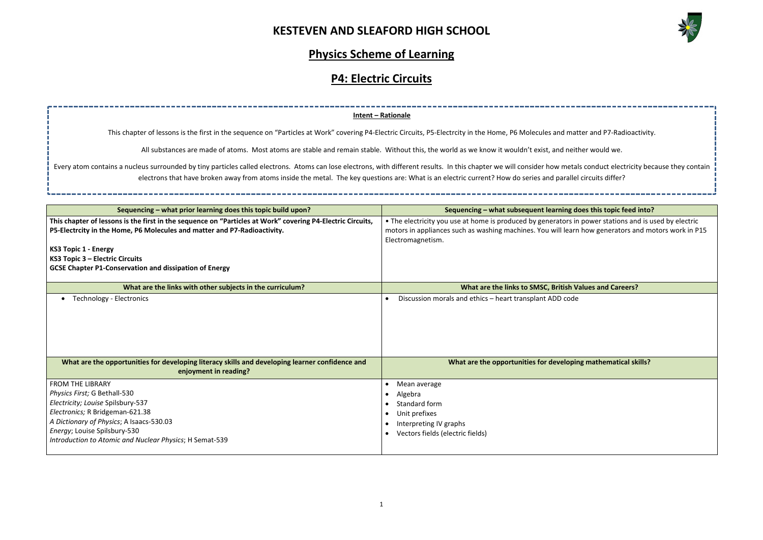

|                                                                                                                        | Intent - Rationale                                                                                                                                                                                            |
|------------------------------------------------------------------------------------------------------------------------|---------------------------------------------------------------------------------------------------------------------------------------------------------------------------------------------------------------|
|                                                                                                                        | This chapter of lessons is the first in the sequence on "Particles at Work" covering P4-Electric Circuits, P5-Electrcity in the Home, P6 Molecules and matter and P7-Radioactivity.                           |
|                                                                                                                        | All substances are made of atoms. Most atoms are stable and remain stable. Without this, the world as we know it wouldn't exist, and neither would we.                                                        |
|                                                                                                                        |                                                                                                                                                                                                               |
|                                                                                                                        | atom contains a nucleus surrounded by tiny particles called electrons. Atoms can lose electrons, with different results. In this chapter we will consider how metals conduct electricity because they contain |
|                                                                                                                        | electrons that have broken away from atoms inside the metal. The key questions are: What is an electric current? How do series and parallel circuits differ?                                                  |
|                                                                                                                        |                                                                                                                                                                                                               |
| Sequencing - what prior learning does this topic build upon?                                                           | Sequencing - what subsequent learning does this topic feed into?                                                                                                                                              |
| apter of lessons is the first in the sequence on "Particles at Work" covering P4-Electric Circuits,                    | • The electricity you use at home is produced by generators in power stations and is used by electric                                                                                                         |
| trcity in the Home, P6 Molecules and matter and P7-Radioactivity.                                                      | motors in appliances such as washing machines. You will learn how generators and motors work in P15<br>Electromagnetism.                                                                                      |
| vic 1 - Energy                                                                                                         |                                                                                                                                                                                                               |
| oic 3 – Electric Circuits                                                                                              |                                                                                                                                                                                                               |
| napter P1-Conservation and dissipation of Energy                                                                       |                                                                                                                                                                                                               |
|                                                                                                                        |                                                                                                                                                                                                               |
| What are the links with other subjects in the curriculum?                                                              | What are the links to SMSC, British Values and Careers?                                                                                                                                                       |
| Technology - Electronics                                                                                               | Discussion morals and ethics - heart transplant ADD code                                                                                                                                                      |
|                                                                                                                        |                                                                                                                                                                                                               |
|                                                                                                                        |                                                                                                                                                                                                               |
|                                                                                                                        |                                                                                                                                                                                                               |
|                                                                                                                        |                                                                                                                                                                                                               |
|                                                                                                                        |                                                                                                                                                                                                               |
| at are the opportunities for developing literacy skills and developing learner confidence and<br>enjoyment in reading? | What are the opportunities for developing mathematical skills?                                                                                                                                                |
| <b>HE LIBRARY</b>                                                                                                      | Mean average                                                                                                                                                                                                  |
| First; G Bethall-530                                                                                                   | Algebra                                                                                                                                                                                                       |
| ty; Louise Spilsbury-537                                                                                               | Standard form                                                                                                                                                                                                 |
| iics; R Bridgeman-621.38                                                                                               | Unit prefixes                                                                                                                                                                                                 |
| nary of Physics; A Isaacs-530.03                                                                                       | Interpreting IV graphs                                                                                                                                                                                        |
| Louise Spilsbury-530<br>ation to Atomic and Nugleau Dhusies, U.Comest F30                                              | Vectors fields (electric fields)                                                                                                                                                                              |

#### **Physics Scheme of Learning**

# **P4: Electric Circuits**

| Sequencing - what prior learning does this topic build upon?                                               | Sequencing - what subsequent learning does this topic feed into?                                      |
|------------------------------------------------------------------------------------------------------------|-------------------------------------------------------------------------------------------------------|
| This chapter of lessons is the first in the sequence on "Particles at Work" covering P4-Electric Circuits, | • The electricity you use at home is produced by generators in power stations and is used by electric |
| P5-Electrcity in the Home, P6 Molecules and matter and P7-Radioactivity.                                   | motors in appliances such as washing machines. You will learn how generators and motors work in P15   |
|                                                                                                            | Electromagnetism.                                                                                     |
| <b>KS3 Topic 1 - Energy</b>                                                                                |                                                                                                       |
| KS3 Topic 3 - Electric Circuits<br><b>GCSE Chapter P1-Conservation and dissipation of Energy</b>           |                                                                                                       |
|                                                                                                            |                                                                                                       |
| What are the links with other subjects in the curriculum?                                                  | What are the links to SMSC, British Values and Careers?                                               |
| <b>Technology - Electronics</b>                                                                            | Discussion morals and ethics - heart transplant ADD code                                              |
|                                                                                                            |                                                                                                       |
|                                                                                                            |                                                                                                       |
|                                                                                                            |                                                                                                       |
|                                                                                                            |                                                                                                       |
|                                                                                                            |                                                                                                       |
| What are the opportunities for developing literacy skills and developing learner confidence and            | What are the opportunities for developing mathematical skills?                                        |
| enjoyment in reading?                                                                                      |                                                                                                       |
| <b>FROM THE LIBRARY</b>                                                                                    | Mean average                                                                                          |
| Physics First; G Bethall-530                                                                               | Algebra                                                                                               |
| Electricity; Louise Spilsbury-537                                                                          | Standard form                                                                                         |
| Electronics; R Bridgeman-621.38                                                                            | Unit prefixes                                                                                         |
| A Dictionary of Physics; A Isaacs-530.03                                                                   | Interpreting IV graphs                                                                                |
| Energy; Louise Spilsbury-530                                                                               | Vectors fields (electric fields)                                                                      |
| Introduction to Atomic and Nuclear Physics; H Semat-539                                                    |                                                                                                       |
|                                                                                                            |                                                                                                       |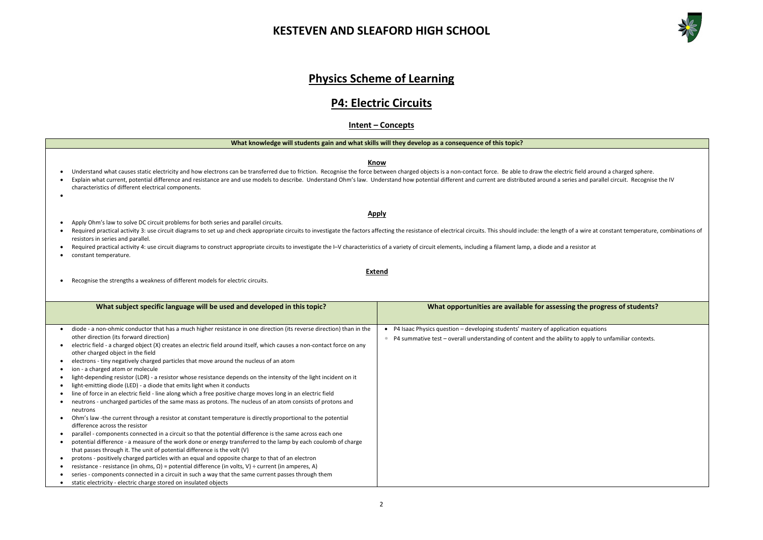2

# **Physics Scheme of Learning**

#### **P4: Electric Circuits**

#### **Intent – Concepts**

**What knowledge will students gain and what skills will they develop as a consequence of this topic?**

**Know**

- Understand what causes static electricity and how electrons can be transferred due to friction. Recognise the force between charged objects is a non-contact force. Be able to draw the electric field around a charged sphe • Explain what current, potential difference and resistance are and use models to describe. Understand Ohm's law. Understand how potential different and current are distributed around a series and parallel circuit. Recogni
- characteristics of different electrical components. •
- Apply Ohm's law to solve DC circuit problems for both series and parallel circuits.
- Required practical activity 3: use circuit diagrams to set up and check appropriate circuits to investigate the factors affecting the resistance of electrical circuits. This should include: the length of a wire at consta resistors in series and parallel.
- Required practical activity 4: use circuit diagrams to construct appropriate circuits to investigate the I–V characteristics of a variety of circuit elements, including a filament lamp, a diode and a resistor at
- constant temperature.
- Recognise the strengths a weakness of different models for electric circuits.

#### **Apply**

**Extend**



#### **he progress of students?**

equations apply to unfamiliar contexts.

| What subject specific language will be used and developed in this topic?                                                                                                                                                                                                                                                                                                                                                                                                                                                                                                                                                                                                                                                                                                                                                                                                                                                                                                                                                                                                                                                                                                                                                                                                            | What opportunities are available for assessing t                                                                                                   |
|-------------------------------------------------------------------------------------------------------------------------------------------------------------------------------------------------------------------------------------------------------------------------------------------------------------------------------------------------------------------------------------------------------------------------------------------------------------------------------------------------------------------------------------------------------------------------------------------------------------------------------------------------------------------------------------------------------------------------------------------------------------------------------------------------------------------------------------------------------------------------------------------------------------------------------------------------------------------------------------------------------------------------------------------------------------------------------------------------------------------------------------------------------------------------------------------------------------------------------------------------------------------------------------|----------------------------------------------------------------------------------------------------------------------------------------------------|
|                                                                                                                                                                                                                                                                                                                                                                                                                                                                                                                                                                                                                                                                                                                                                                                                                                                                                                                                                                                                                                                                                                                                                                                                                                                                                     |                                                                                                                                                    |
| diode - a non-ohmic conductor that has a much higher resistance in one direction (its reverse direction) than in the<br>other direction (its forward direction)<br>electric field - a charged object (X) creates an electric field around itself, which causes a non-contact force on any<br>other charged object in the field<br>electrons - tiny negatively charged particles that move around the nucleus of an atom<br>ion - a charged atom or molecule<br>light-depending resistor (LDR) - a resistor whose resistance depends on the intensity of the light incident on it<br>light-emitting diode (LED) - a diode that emits light when it conducts<br>line of force in an electric field - line along which a free positive charge moves long in an electric field<br>neutrons - uncharged particles of the same mass as protons. The nucleus of an atom consists of protons and<br>neutrons<br>Ohm's law -the current through a resistor at constant temperature is directly proportional to the potential<br>difference across the resistor<br>parallel - components connected in a circuit so that the potential difference is the same across each one<br>potential difference - a measure of the work done or energy transferred to the lamp by each coulomb of charge | P4 Isaac Physics question - developing students' mastery of application<br>P4 summative test - overall understanding of content and the ability to |
| that passes through it. The unit of potential difference is the volt (V)<br>protons - positively charged particles with an equal and opposite charge to that of an electron                                                                                                                                                                                                                                                                                                                                                                                                                                                                                                                                                                                                                                                                                                                                                                                                                                                                                                                                                                                                                                                                                                         |                                                                                                                                                    |
| resistance - resistance (in ohms, $\Omega$ ) = potential difference (in volts, V) ÷ current (in amperes, A)                                                                                                                                                                                                                                                                                                                                                                                                                                                                                                                                                                                                                                                                                                                                                                                                                                                                                                                                                                                                                                                                                                                                                                         |                                                                                                                                                    |
| series - components connected in a circuit in such a way that the same current passes through them                                                                                                                                                                                                                                                                                                                                                                                                                                                                                                                                                                                                                                                                                                                                                                                                                                                                                                                                                                                                                                                                                                                                                                                  |                                                                                                                                                    |
| static electricity - electric charge stored on insulated objects                                                                                                                                                                                                                                                                                                                                                                                                                                                                                                                                                                                                                                                                                                                                                                                                                                                                                                                                                                                                                                                                                                                                                                                                                    |                                                                                                                                                    |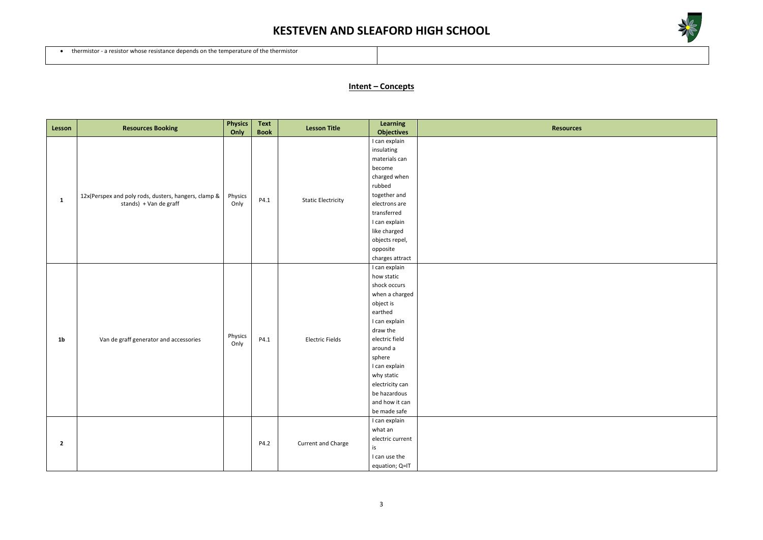

• thermistor - a resistor whose resistance depends on the temperature of the thermistor

#### **Intent – Concepts**

| Lesson         | <b>Resources Booking</b>                                                               | <b>Physics</b><br>Only | Text<br><b>Book</b> | <b>Lesson Title</b>       | Learning<br><b>Objectives</b>                                                                                                                                                                                                                                  | <b>Resources</b> |
|----------------|----------------------------------------------------------------------------------------|------------------------|---------------------|---------------------------|----------------------------------------------------------------------------------------------------------------------------------------------------------------------------------------------------------------------------------------------------------------|------------------|
| $\mathbf{1}$   | 12x(Perspex and poly rods, dusters, hangers, clamp & $\vert$<br>stands) + Van de graff | Physics<br>Only        | P4.1                | <b>Static Electricity</b> | I can explain<br>insulating<br>materials can<br>become<br>charged when<br>rubbed<br>together and<br>electrons are<br>transferred<br>I can explain<br>like charged<br>objects repel,<br>opposite<br>charges attract                                             |                  |
| 1 <sub>b</sub> | Van de graff generator and accessories                                                 | Physics<br>Only        | P4.1                | <b>Electric Fields</b>    | I can explain<br>how static<br>shock occurs<br>when a charged<br>object is<br>earthed<br>I can explain<br>draw the<br>electric field<br>around a<br>sphere<br>I can explain<br>why static<br>electricity can<br>be hazardous<br>and how it can<br>be made safe |                  |
| $\overline{2}$ |                                                                                        |                        | P4.2                | Current and Charge        | I can explain<br>what an<br>electric current<br>is<br>I can use the<br>equation; Q=IT                                                                                                                                                                          |                  |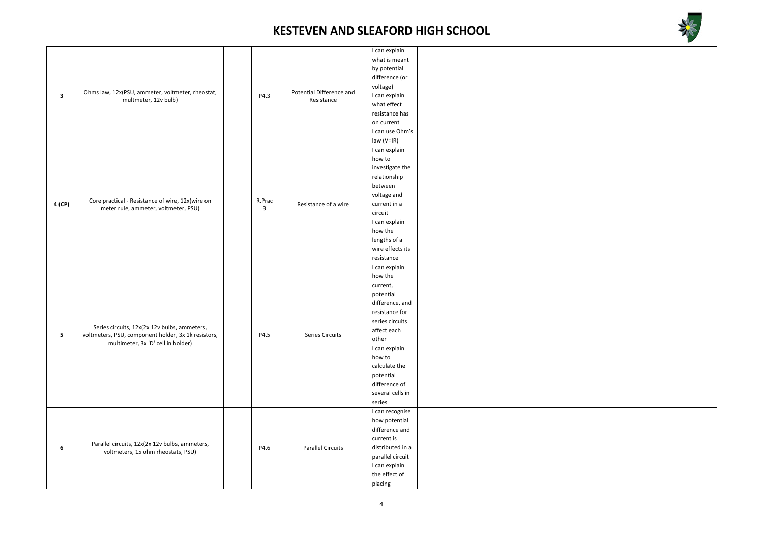



| $\mathbf{3}$                                                                              | Ohms law, 12x(PSU, ammeter, voltmeter, rheostat,<br>multmeter, 12v bulb)                                                                  |        |                          | I can explain    |  |
|-------------------------------------------------------------------------------------------|-------------------------------------------------------------------------------------------------------------------------------------------|--------|--------------------------|------------------|--|
|                                                                                           |                                                                                                                                           |        |                          | what is meant    |  |
|                                                                                           |                                                                                                                                           |        |                          | by potential     |  |
|                                                                                           |                                                                                                                                           |        |                          | difference (or   |  |
|                                                                                           |                                                                                                                                           |        |                          | voltage)         |  |
|                                                                                           |                                                                                                                                           | P4.3   | Potential Difference and | I can explain    |  |
|                                                                                           |                                                                                                                                           |        | Resistance               | what effect      |  |
|                                                                                           |                                                                                                                                           |        |                          | resistance has   |  |
|                                                                                           |                                                                                                                                           |        |                          | on current       |  |
|                                                                                           |                                                                                                                                           |        |                          | I can use Ohm's  |  |
|                                                                                           |                                                                                                                                           |        |                          | $law (V=IR)$     |  |
|                                                                                           |                                                                                                                                           |        |                          | I can explain    |  |
|                                                                                           |                                                                                                                                           |        |                          | how to           |  |
|                                                                                           |                                                                                                                                           |        |                          | investigate the  |  |
|                                                                                           |                                                                                                                                           |        |                          | relationship     |  |
|                                                                                           |                                                                                                                                           |        |                          | between          |  |
|                                                                                           |                                                                                                                                           |        |                          | voltage and      |  |
| 4 (CP)                                                                                    | Core practical - Resistance of wire, 12x(wire on                                                                                          | R.Prac | Resistance of a wire     | current in a     |  |
|                                                                                           | meter rule, ammeter, voltmeter, PSU)                                                                                                      | 3      |                          | circuit          |  |
|                                                                                           |                                                                                                                                           |        |                          | I can explain    |  |
|                                                                                           |                                                                                                                                           |        |                          | how the          |  |
|                                                                                           |                                                                                                                                           |        |                          | lengths of a     |  |
|                                                                                           |                                                                                                                                           |        |                          | wire effects its |  |
|                                                                                           |                                                                                                                                           |        |                          | resistance       |  |
|                                                                                           |                                                                                                                                           |        |                          | I can explain    |  |
|                                                                                           |                                                                                                                                           |        |                          | how the          |  |
|                                                                                           |                                                                                                                                           |        |                          | current,         |  |
|                                                                                           |                                                                                                                                           |        |                          | potential        |  |
|                                                                                           | Series circuits, 12x(2x 12v bulbs, ammeters,<br>voltmeters, PSU, component holder, 3x 1k resistors,<br>multimeter, 3x 'D' cell in holder) |        |                          | difference, and  |  |
|                                                                                           |                                                                                                                                           |        |                          | resistance for   |  |
|                                                                                           |                                                                                                                                           |        |                          | series circuits  |  |
|                                                                                           |                                                                                                                                           |        |                          | affect each      |  |
| $5\phantom{.0}$                                                                           |                                                                                                                                           | P4.5   | Series Circuits          | other            |  |
|                                                                                           |                                                                                                                                           |        |                          | I can explain    |  |
|                                                                                           |                                                                                                                                           |        |                          | how to           |  |
|                                                                                           |                                                                                                                                           |        |                          | calculate the    |  |
|                                                                                           |                                                                                                                                           |        |                          | potential        |  |
|                                                                                           |                                                                                                                                           |        |                          | difference of    |  |
|                                                                                           |                                                                                                                                           |        |                          | several cells in |  |
|                                                                                           |                                                                                                                                           |        |                          | series           |  |
|                                                                                           |                                                                                                                                           |        |                          | I can recognise  |  |
| Parallel circuits, 12x(2x 12v bulbs, ammeters,<br>6<br>voltmeters, 15 ohm rheostats, PSU) |                                                                                                                                           |        |                          | how potential    |  |
|                                                                                           |                                                                                                                                           |        |                          | difference and   |  |
|                                                                                           |                                                                                                                                           |        |                          | current is       |  |
|                                                                                           |                                                                                                                                           | P4.6   | <b>Parallel Circuits</b> | distributed in a |  |
|                                                                                           |                                                                                                                                           |        |                          | parallel circuit |  |
|                                                                                           |                                                                                                                                           |        |                          | I can explain    |  |
|                                                                                           |                                                                                                                                           |        |                          | the effect of    |  |
|                                                                                           |                                                                                                                                           |        |                          | placing          |  |
|                                                                                           |                                                                                                                                           |        |                          |                  |  |